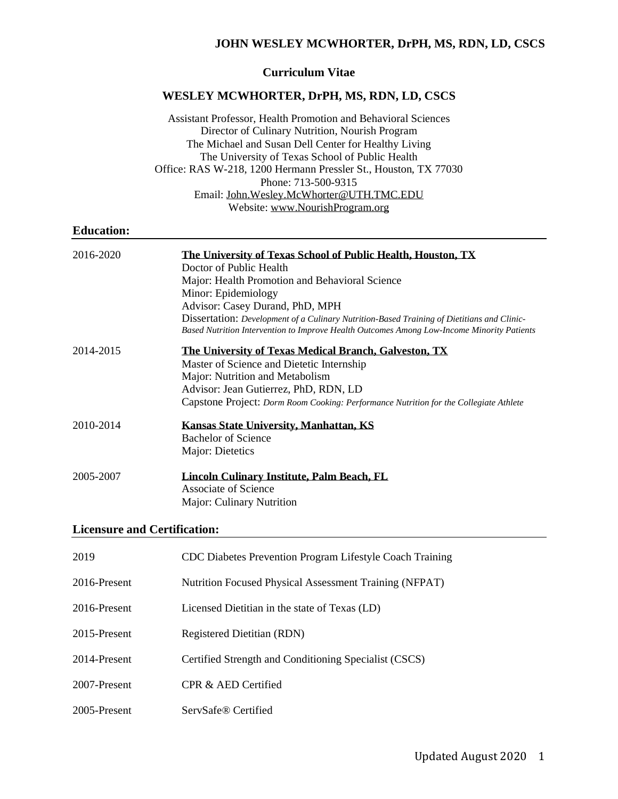#### **Curriculum Vitae**

# **WESLEY MCWHORTER, DrPH, MS, RDN, LD, CSCS**

Assistant Professor, Health Promotion and Behavioral Sciences Director of Culinary Nutrition, Nourish Program The Michael and Susan Dell Center for Healthy Living The University of Texas School of Public Health Office: RAS W-218, 1200 Hermann Pressler St., Houston, TX 77030 Phone: 713-500-9315 Email: [John.Wesley.McWhorter@UTH.TMC.EDU](mailto:John.Wesley.McWhorter@UTH.TMC.EDU) Website: [www.NourishProgram.org](http://www.nourishprogram.org/)

#### **Education:**

| 2016-2020 | The University of Texas School of Public Health, Houston, TX                                                                                                                             |
|-----------|------------------------------------------------------------------------------------------------------------------------------------------------------------------------------------------|
|           | Doctor of Public Health                                                                                                                                                                  |
|           | Major: Health Promotion and Behavioral Science                                                                                                                                           |
|           | Minor: Epidemiology                                                                                                                                                                      |
|           | Advisor: Casey Durand, PhD, MPH                                                                                                                                                          |
|           | Dissertation: Development of a Culinary Nutrition-Based Training of Dietitians and Clinic-<br>Based Nutrition Intervention to Improve Health Outcomes Among Low-Income Minority Patients |
| 2014-2015 | The University of Texas Medical Branch, Galveston, TX                                                                                                                                    |
|           | Master of Science and Dietetic Internship                                                                                                                                                |
|           | Major: Nutrition and Metabolism                                                                                                                                                          |
|           | Advisor: Jean Gutierrez, PhD, RDN, LD                                                                                                                                                    |
|           | Capstone Project: Dorm Room Cooking: Performance Nutrition for the Collegiate Athlete                                                                                                    |
| 2010-2014 | Kansas State University, Manhattan, KS                                                                                                                                                   |
|           | Bachelor of Science                                                                                                                                                                      |
|           | Major: Dietetics                                                                                                                                                                         |
| 2005-2007 | Lincoln Culinary Institute, Palm Beach, FL                                                                                                                                               |
|           | <b>Associate of Science</b>                                                                                                                                                              |
|           | Major: Culinary Nutrition                                                                                                                                                                |

### **Licensure and Certification:**

| 2019            | CDC Diabetes Prevention Program Lifestyle Coach Training |
|-----------------|----------------------------------------------------------|
| $2016$ -Present | Nutrition Focused Physical Assessment Training (NFPAT)   |
| $2016$ -Present | Licensed Dietitian in the state of Texas (LD)            |
| $2015$ -Present | <b>Registered Dietitian (RDN)</b>                        |
| 2014-Present    | Certified Strength and Conditioning Specialist (CSCS)    |
| 2007-Present    | CPR & AED Certified                                      |
| 2005-Present    | ServSafe <sup>®</sup> Certified                          |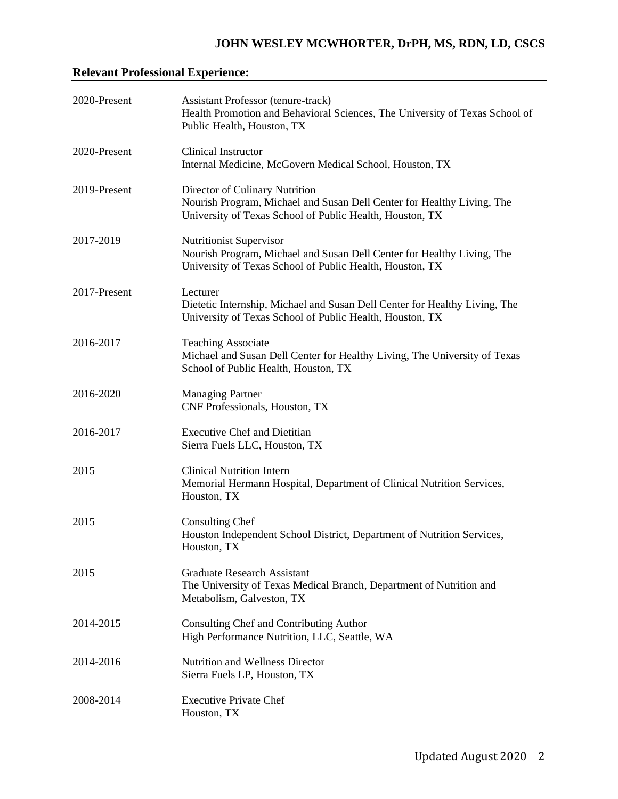# **Relevant Professional Experience:**

| 2020-Present | Assistant Professor (tenure-track)<br>Health Promotion and Behavioral Sciences, The University of Texas School of<br>Public Health, Houston, TX                      |
|--------------|----------------------------------------------------------------------------------------------------------------------------------------------------------------------|
| 2020-Present | <b>Clinical Instructor</b><br>Internal Medicine, McGovern Medical School, Houston, TX                                                                                |
| 2019-Present | Director of Culinary Nutrition<br>Nourish Program, Michael and Susan Dell Center for Healthy Living, The<br>University of Texas School of Public Health, Houston, TX |
| 2017-2019    | <b>Nutritionist Supervisor</b><br>Nourish Program, Michael and Susan Dell Center for Healthy Living, The<br>University of Texas School of Public Health, Houston, TX |
| 2017-Present | Lecturer<br>Dietetic Internship, Michael and Susan Dell Center for Healthy Living, The<br>University of Texas School of Public Health, Houston, TX                   |
| 2016-2017    | <b>Teaching Associate</b><br>Michael and Susan Dell Center for Healthy Living, The University of Texas<br>School of Public Health, Houston, TX                       |
| 2016-2020    | <b>Managing Partner</b><br>CNF Professionals, Houston, TX                                                                                                            |
| 2016-2017    | <b>Executive Chef and Dietitian</b><br>Sierra Fuels LLC, Houston, TX                                                                                                 |
| 2015         | <b>Clinical Nutrition Intern</b><br>Memorial Hermann Hospital, Department of Clinical Nutrition Services,<br>Houston, TX                                             |
| 2015         | <b>Consulting Chef</b><br>Houston Independent School District, Department of Nutrition Services,<br>Houston, TX                                                      |
| 2015         | <b>Graduate Research Assistant</b><br>The University of Texas Medical Branch, Department of Nutrition and<br>Metabolism, Galveston, TX                               |
| 2014-2015    | Consulting Chef and Contributing Author<br>High Performance Nutrition, LLC, Seattle, WA                                                                              |
| 2014-2016    | <b>Nutrition and Wellness Director</b><br>Sierra Fuels LP, Houston, TX                                                                                               |
| 2008-2014    | <b>Executive Private Chef</b><br>Houston, TX                                                                                                                         |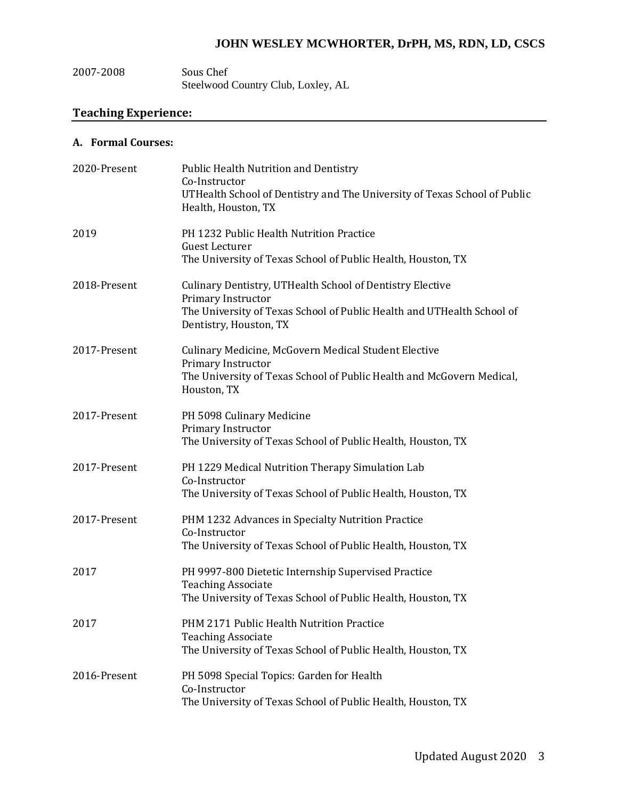| 2007-2008 | Sous Chef                          |
|-----------|------------------------------------|
|           | Steelwood Country Club, Loxley, AL |

# **Teaching Experience:**

#### **A. Formal Courses:**

| 2020-Present | <b>Public Health Nutrition and Dentistry</b><br>Co-Instructor<br>UTHealth School of Dentistry and The University of Texas School of Public<br>Health, Houston, TX                   |
|--------------|-------------------------------------------------------------------------------------------------------------------------------------------------------------------------------------|
| 2019         | PH 1232 Public Health Nutrition Practice<br><b>Guest Lecturer</b><br>The University of Texas School of Public Health, Houston, TX                                                   |
| 2018-Present | Culinary Dentistry, UTHealth School of Dentistry Elective<br>Primary Instructor<br>The University of Texas School of Public Health and UTHealth School of<br>Dentistry, Houston, TX |
| 2017-Present | Culinary Medicine, McGovern Medical Student Elective<br>Primary Instructor<br>The University of Texas School of Public Health and McGovern Medical,<br>Houston, TX                  |
| 2017-Present | PH 5098 Culinary Medicine<br>Primary Instructor<br>The University of Texas School of Public Health, Houston, TX                                                                     |
| 2017-Present | PH 1229 Medical Nutrition Therapy Simulation Lab<br>Co-Instructor<br>The University of Texas School of Public Health, Houston, TX                                                   |
| 2017-Present | PHM 1232 Advances in Specialty Nutrition Practice<br>Co-Instructor<br>The University of Texas School of Public Health, Houston, TX                                                  |
| 2017         | PH 9997-800 Dietetic Internship Supervised Practice<br><b>Teaching Associate</b><br>The University of Texas School of Public Health, Houston, TX                                    |
| 2017         | PHM 2171 Public Health Nutrition Practice<br><b>Teaching Associate</b><br>The University of Texas School of Public Health, Houston, TX                                              |
| 2016-Present | PH 5098 Special Topics: Garden for Health<br>Co-Instructor<br>The University of Texas School of Public Health, Houston, TX                                                          |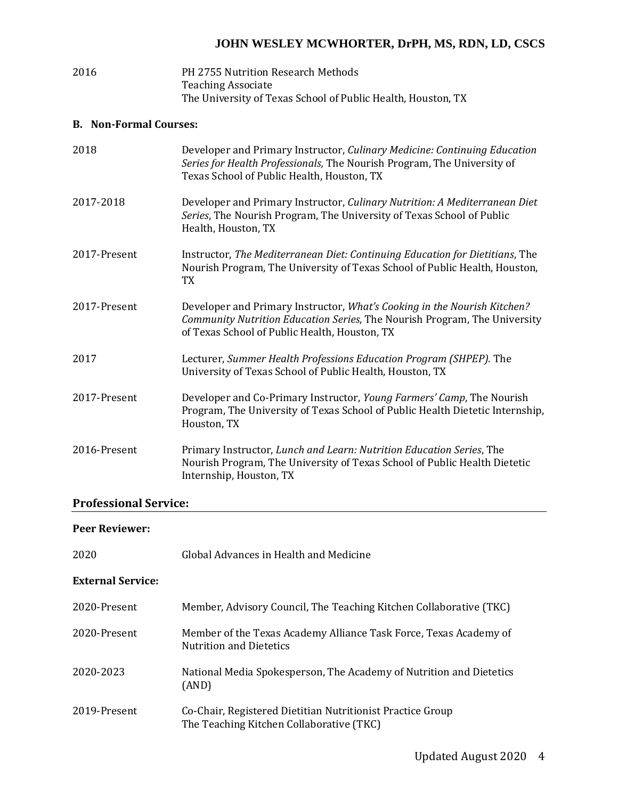| 2016 | <b>PH 2755 Nutrition Research Methods</b>                    |
|------|--------------------------------------------------------------|
|      | <b>Teaching Associate</b>                                    |
|      | The University of Texas School of Public Health, Houston, TX |

### **B. Non-Formal Courses:**

| 2018         | Developer and Primary Instructor, Culinary Medicine: Continuing Education<br>Series for Health Professionals, The Nourish Program, The University of<br>Texas School of Public Health, Houston, TX     |
|--------------|--------------------------------------------------------------------------------------------------------------------------------------------------------------------------------------------------------|
| 2017-2018    | Developer and Primary Instructor, Culinary Nutrition: A Mediterranean Diet<br>Series, The Nourish Program, The University of Texas School of Public<br>Health, Houston, TX                             |
| 2017-Present | Instructor, The Mediterranean Diet: Continuing Education for Dietitians, The<br>Nourish Program, The University of Texas School of Public Health, Houston,<br>TX                                       |
| 2017-Present | Developer and Primary Instructor, What's Cooking in the Nourish Kitchen?<br>Community Nutrition Education Series, The Nourish Program, The University<br>of Texas School of Public Health, Houston, TX |
| 2017         | Lecturer, Summer Health Professions Education Program (SHPEP). The<br>University of Texas School of Public Health, Houston, TX                                                                         |
| 2017-Present | Developer and Co-Primary Instructor, <i>Young Farmers' Camp</i> , The Nourish<br>Program, The University of Texas School of Public Health Dietetic Internship,<br>Houston, TX                          |
| 2016-Present | Primary Instructor, Lunch and Learn: Nutrition Education Series, The<br>Nourish Program, The University of Texas School of Public Health Dietetic<br>Internship, Houston, TX                           |

### **Professional Service:**

#### **Peer Reviewer:**

2020 Global Advances in Health and Medicine

#### **External Service:**

| 2020-Present | Member, Advisory Council, The Teaching Kitchen Collaborative (TKC)                                     |
|--------------|--------------------------------------------------------------------------------------------------------|
| 2020-Present | Member of the Texas Academy Alliance Task Force, Texas Academy of<br><b>Nutrition and Dietetics</b>    |
| 2020-2023    | National Media Spokesperson, The Academy of Nutrition and Dietetics<br>(AND)                           |
| 2019-Present | Co-Chair, Registered Dietitian Nutritionist Practice Group<br>The Teaching Kitchen Collaborative (TKC) |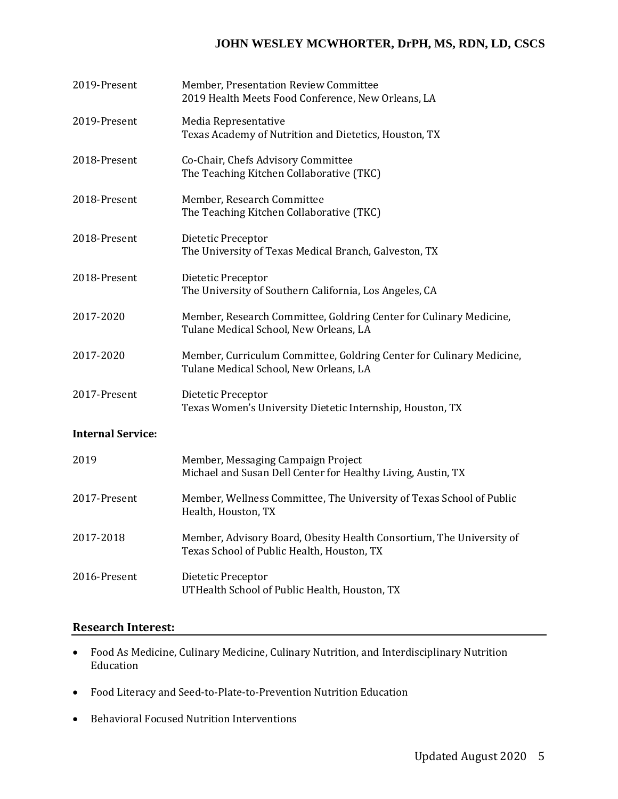| 2019-Present             | Member, Presentation Review Committee<br>2019 Health Meets Food Conference, New Orleans, LA                        |
|--------------------------|--------------------------------------------------------------------------------------------------------------------|
| 2019-Present             | Media Representative<br>Texas Academy of Nutrition and Dietetics, Houston, TX                                      |
| 2018-Present             | Co-Chair, Chefs Advisory Committee<br>The Teaching Kitchen Collaborative (TKC)                                     |
| 2018-Present             | Member, Research Committee<br>The Teaching Kitchen Collaborative (TKC)                                             |
| 2018-Present             | Dietetic Preceptor<br>The University of Texas Medical Branch, Galveston, TX                                        |
| 2018-Present             | Dietetic Preceptor<br>The University of Southern California, Los Angeles, CA                                       |
| 2017-2020                | Member, Research Committee, Goldring Center for Culinary Medicine,<br>Tulane Medical School, New Orleans, LA       |
| 2017-2020                | Member, Curriculum Committee, Goldring Center for Culinary Medicine,<br>Tulane Medical School, New Orleans, LA     |
| 2017-Present             | Dietetic Preceptor<br>Texas Women's University Dietetic Internship, Houston, TX                                    |
| <b>Internal Service:</b> |                                                                                                                    |
| 2019                     | Member, Messaging Campaign Project<br>Michael and Susan Dell Center for Healthy Living, Austin, TX                 |
| 2017-Present             | Member, Wellness Committee, The University of Texas School of Public<br>Health, Houston, TX                        |
| 2017-2018                | Member, Advisory Board, Obesity Health Consortium, The University of<br>Texas School of Public Health, Houston, TX |
| 2016-Present             | Dietetic Preceptor<br>UTHealth School of Public Health, Houston, TX                                                |

# **Research Interest:**

- Food As Medicine, Culinary Medicine, Culinary Nutrition, and Interdisciplinary Nutrition Education
- Food Literacy and Seed-to-Plate-to-Prevention Nutrition Education
- Behavioral Focused Nutrition Interventions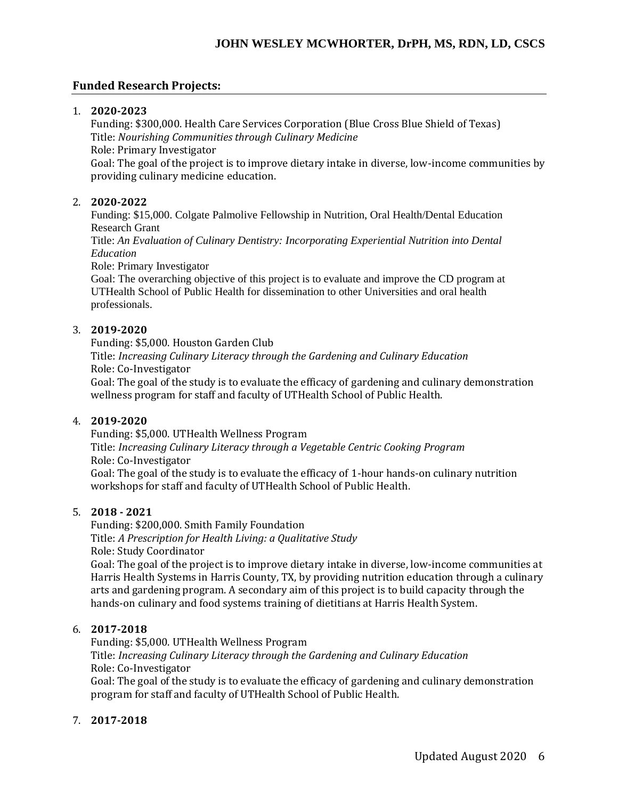# **Funded Research Projects:**

### 1. **2020-2023**

Funding: \$300,000. Health Care Services Corporation (Blue Cross Blue Shield of Texas) Title: *Nourishing Communities through Culinary Medicine* Role: Primary Investigator Goal: The goal of the project is to improve dietary intake in diverse, low-income communities by providing culinary medicine education.

### 2. **2020-2022**

Funding: \$15,000. Colgate Palmolive Fellowship in Nutrition, Oral Health/Dental Education Research Grant

Title: *An Evaluation of Culinary Dentistry: Incorporating Experiential Nutrition into Dental Education*

Role: Primary Investigator

Goal: The overarching objective of this project is to evaluate and improve the CD program at UTHealth School of Public Health for dissemination to other Universities and oral health professionals.

### 3. **2019-2020**

Funding: \$5,000. Houston Garden Club Title: *Increasing Culinary Literacy through the Gardening and Culinary Education* Role: Co-Investigator Goal: The goal of the study is to evaluate the efficacy of gardening and culinary demonstration

wellness program for staff and faculty of UTHealth School of Public Health.

### 4. **2019-2020**

Funding: \$5,000. UTHealth Wellness Program Title: *Increasing Culinary Literacy through a Vegetable Centric Cooking Program* Role: Co-Investigator Goal: The goal of the study is to evaluate the efficacy of 1-hour hands-on culinary nutrition workshops for staff and faculty of UTHealth School of Public Health.

#### 5. **2018 - 2021**

Funding: \$200,000. Smith Family Foundation Title: *A Prescription for Health Living: a Qualitative Study* Role: Study Coordinator

Goal: The goal of the project is to improve dietary intake in diverse, low-income communities at Harris Health Systems in Harris County, TX, by providing nutrition education through a culinary arts and gardening program. A secondary aim of this project is to build capacity through the hands-on culinary and food systems training of dietitians at Harris Health System.

### 6. **2017-2018**

Funding: \$5,000. UTHealth Wellness Program Title: *Increasing Culinary Literacy through the Gardening and Culinary Education* Role: Co-Investigator

Goal: The goal of the study is to evaluate the efficacy of gardening and culinary demonstration program for staff and faculty of UTHealth School of Public Health.

### 7. **2017-2018**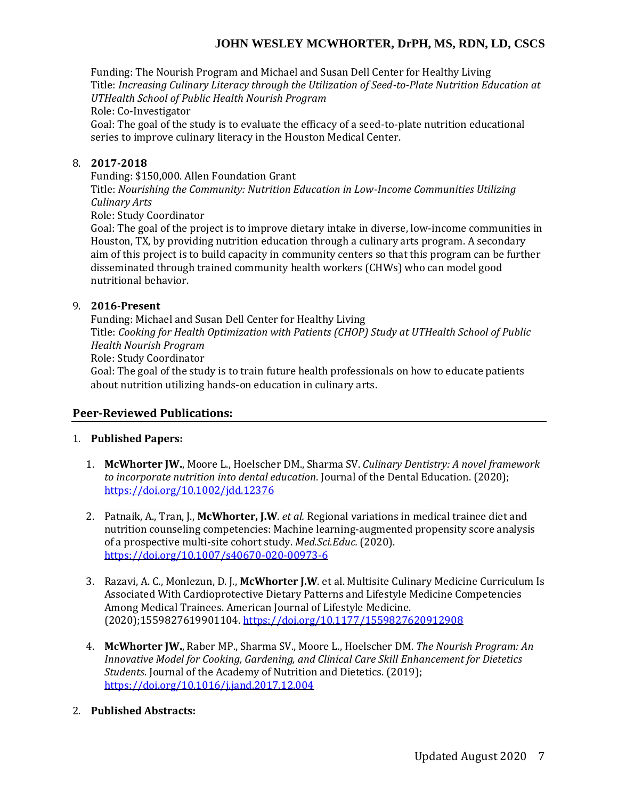Funding: The Nourish Program and Michael and Susan Dell Center for Healthy Living Title: *Increasing Culinary Literacy through the Utilization of Seed-to-Plate Nutrition Education at UTHealth School of Public Health Nourish Program* Role: Co-Investigator

Goal: The goal of the study is to evaluate the efficacy of a seed-to-plate nutrition educational series to improve culinary literacy in the Houston Medical Center.

#### 8. **2017-2018**

Funding: \$150,000. Allen Foundation Grant

Title: *Nourishing the Community: Nutrition Education in Low-Income Communities Utilizing Culinary Arts*

Role: Study Coordinator

Goal: The goal of the project is to improve dietary intake in diverse, low-income communities in Houston, TX, by providing nutrition education through a culinary arts program. A secondary aim of this project is to build capacity in community centers so that this program can be further disseminated through trained community health workers (CHWs) who can model good nutritional behavior.

### 9. **2016-Present**

Funding: Michael and Susan Dell Center for Healthy Living Title: *Cooking for Health Optimization with Patients (CHOP) Study at UTHealth School of Public Health Nourish Program* Role: Study Coordinator

Goal: The goal of the study is to train future health professionals on how to educate patients about nutrition utilizing hands-on education in culinary arts.

#### **Peer-Reviewed Publications:**

#### 1. **Published Papers:**

- 1. **McWhorter JW.**, Moore L., Hoelscher DM., Sharma SV. *Culinary Dentistry: A novel framework to incorporate nutrition into dental education*. Journal of the Dental Education. (2020); <https://doi.org/10.1002/jdd.12376>
- 2. Patnaik, A., Tran, J., **McWhorter, J.W**. *et al.* Regional variations in medical trainee diet and nutrition counseling competencies: Machine learning-augmented propensity score analysis of a prospective multi-site cohort study. *Med.Sci.Educ.* (2020). <https://doi.org/10.1007/s40670-020-00973-6>
- 3. Razavi, A. C., Monlezun, D. J., **McWhorter J.W**. et al. Multisite Culinary Medicine Curriculum Is Associated With Cardioprotective Dietary Patterns and Lifestyle Medicine Competencies Among Medical Trainees. American Journal of Lifestyle Medicine. (2020);1559827619901104. <https://doi.org/10.1177/1559827620912908>
- 4. **McWhorter JW.**, Raber MP., Sharma SV., Moore L., Hoelscher DM. *The Nourish Program: An Innovative Model for Cooking, Gardening, and Clinical Care Skill Enhancement for Dietetics Students*. Journal of the Academy of Nutrition and Dietetics. (2019); <https://doi.org/10.1016/j.jand.2017.12.004>
- 2. **Published Abstracts:**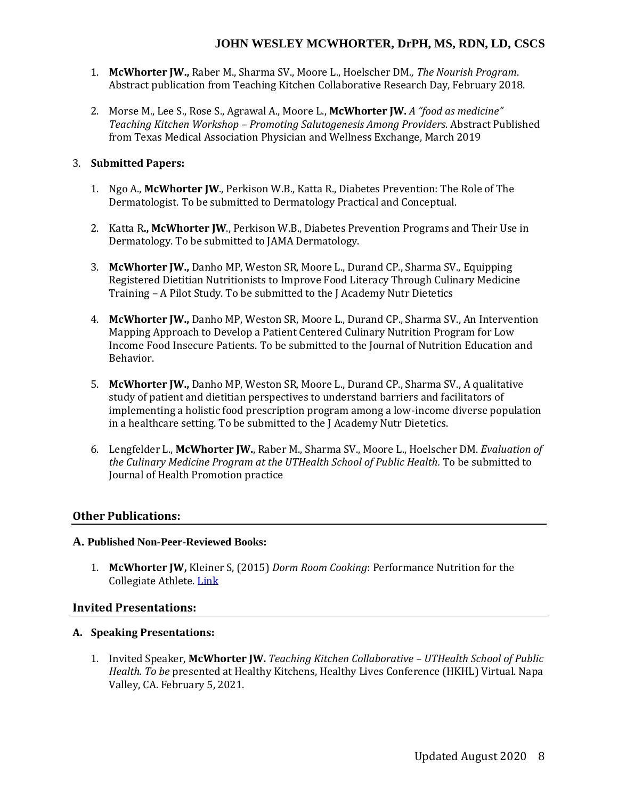- 1. **McWhorter JW.,** Raber M., Sharma SV., Moore L., Hoelscher DM*., The Nourish Program*. Abstract publication from Teaching Kitchen Collaborative Research Day, February 2018.
- 2. Morse M., Lee S., Rose S., Agrawal A., Moore L., **McWhorter JW.** *A "food as medicine" Teaching Kitchen Workshop – Promoting Salutogenesis Among Providers.* Abstract Published from Texas Medical Association Physician and Wellness Exchange, March 2019

### 3. **Submitted Papers:**

- 1. Ngo A., **McWhorter JW**., Perkison W.B., Katta R., Diabetes Prevention: The Role of The Dermatologist. To be submitted to Dermatology Practical and Conceptual.
- 2. Katta R**., McWhorter JW**., Perkison W.B., Diabetes Prevention Programs and Their Use in Dermatology. To be submitted to JAMA Dermatology.
- 3. **McWhorter JW.,** Danho MP, Weston SR, Moore L., Durand CP., Sharma SV., Equipping Registered Dietitian Nutritionists to Improve Food Literacy Through Culinary Medicine Training – A Pilot Study. To be submitted to the J Academy Nutr Dietetics
- 4. **McWhorter JW.,** Danho MP, Weston SR, Moore L., Durand CP., Sharma SV., An Intervention Mapping Approach to Develop a Patient Centered Culinary Nutrition Program for Low Income Food Insecure Patients. To be submitted to the Journal of Nutrition Education and Behavior.
- 5. **McWhorter JW.,** Danho MP, Weston SR, Moore L., Durand CP., Sharma SV., A qualitative study of patient and dietitian perspectives to understand barriers and facilitators of implementing a holistic food prescription program among a low-income diverse population in a healthcare setting. To be submitted to the J Academy Nutr Dietetics.
- 6. Lengfelder L., **McWhorter JW.**, Raber M., Sharma SV., Moore L., Hoelscher DM. *Evaluation of the Culinary Medicine Program at the UTHealth School of Public Health.* To be submitted to Journal of Health Promotion practice

# **Other Publications:**

### **A. Published Non-Peer-Reviewed Books:**

1. **McWhorter JW,** Kleiner S, (2015) *Dorm Room Cooking*: Performance Nutrition for the Collegiate Athlete. [Link](https://drive.google.com/open?id=1IYnktrC_sLi-NMNSRZIIl5V8meVGXx5L)

### **Invited Presentations:**

### **A. Speaking Presentations:**

1. Invited Speaker, **McWhorter JW.** *Teaching Kitchen Collaborative – UTHealth School of Public Health. To be* presented at Healthy Kitchens, Healthy Lives Conference (HKHL) Virtual. Napa Valley, CA. February 5, 2021.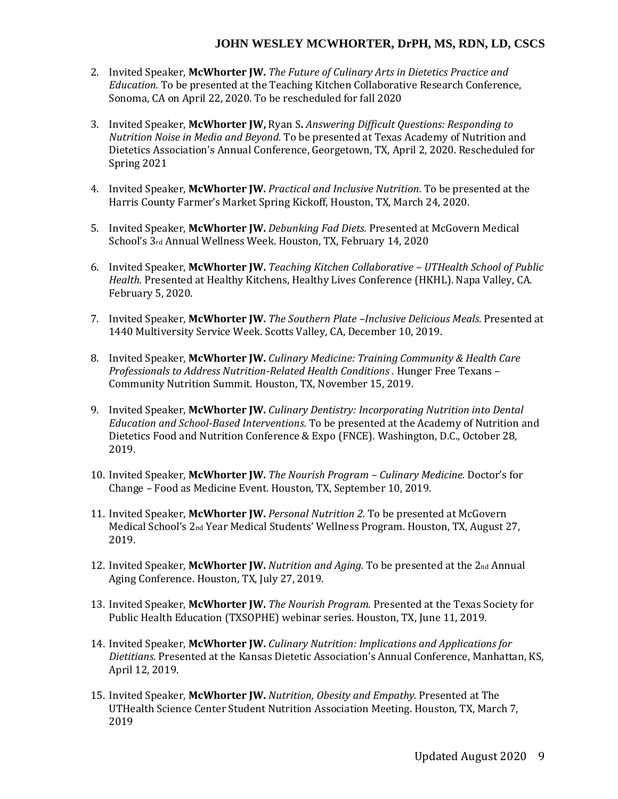- 2. Invited Speaker, **McWhorter JW.** *The Future of Culinary Arts in Dietetics Practice and Education.* To be presented at the Teaching Kitchen Collaborative Research Conference, Sonoma, CA on April 22, 2020. To be rescheduled for fall 2020
- 3. Invited Speaker, **McWhorter JW,** Ryan S**.** *Answering Difficult Questions: Responding to Nutrition Noise in Media and Beyond.* To be presented at Texas Academy of Nutrition and Dietetics Association's Annual Conference, Georgetown, TX, April 2, 2020. Rescheduled for Spring 2021
- 4. Invited Speaker, **McWhorter JW.** *Practical and Inclusive Nutrition.* To be presented at the Harris County Farmer's Market Spring Kickoff, Houston, TX, March 24, 2020.
- 5. Invited Speaker, **McWhorter JW.** *Debunking Fad Diets.* Presented at McGovern Medical School's 3rd Annual Wellness Week. Houston, TX, February 14, 2020
- 6. Invited Speaker, **McWhorter JW.** *Teaching Kitchen Collaborative – UTHealth School of Public Health.* Presented at Healthy Kitchens, Healthy Lives Conference (HKHL). Napa Valley, CA. February 5, 2020.
- 7. Invited Speaker, **McWhorter JW.** *The Southern Plate –Inclusive Delicious Meals.* Presented at 1440 Multiversity Service Week. Scotts Valley, CA, December 10, 2019.
- 8. Invited Speaker, **McWhorter JW.** *Culinary Medicine: Training Community & Health Care Professionals to Address Nutrition-Related Health Conditions .* Hunger Free Texans – Community Nutrition Summit. Houston, TX, November 15, 2019.
- 9. Invited Speaker, **McWhorter JW.** *Culinary Dentistry: Incorporating Nutrition into Dental Education and School-Based Interventions.* To be presented at the Academy of Nutrition and Dietetics Food and Nutrition Conference & Expo (FNCE). Washington, D.C., October 28, 2019.
- 10. Invited Speaker, **McWhorter JW.** *The Nourish Program – Culinary Medicine.* Doctor's for Change – Food as Medicine Event. Houston, TX, September 10, 2019.
- 11. Invited Speaker, **McWhorter JW.** *Personal Nutrition 2.* To be presented at McGovern Medical School's 2nd Year Medical Students' Wellness Program. Houston, TX, August 27, 2019.
- 12. Invited Speaker, **McWhorter JW.** *Nutrition and Aging.* To be presented at the 2nd Annual Aging Conference. Houston, TX, July 27, 2019.
- 13. Invited Speaker, **McWhorter JW.** *The Nourish Program.* Presented at the Texas Society for Public Health Education (TXSOPHE) webinar series. Houston, TX, June 11, 2019.
- 14. Invited Speaker, **McWhorter JW.** *Culinary Nutrition: Implications and Applications for Dietitians.* Presented at the Kansas Dietetic Association's Annual Conference, Manhattan, KS, April 12, 2019.
- 15. Invited Speaker, **McWhorter JW.** *Nutrition, Obesity and Empathy.* Presented at The UTHealth Science Center Student Nutrition Association Meeting. Houston, TX, March 7, 2019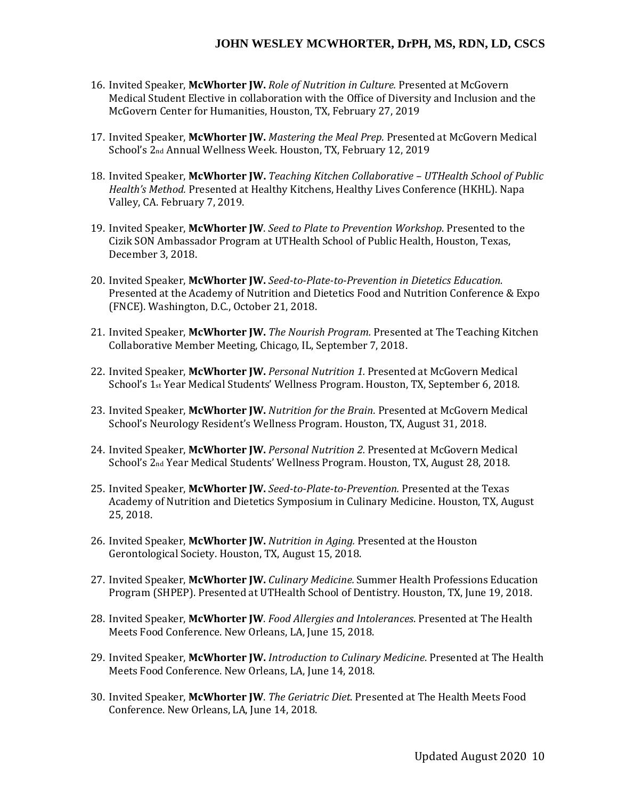- 16. Invited Speaker, **McWhorter JW.** *Role of Nutrition in Culture.* Presented at McGovern Medical Student Elective in collaboration with the Office of Diversity and Inclusion and the McGovern Center for Humanities, Houston, TX, February 27, 2019
- 17. Invited Speaker, **McWhorter JW.** *Mastering the Meal Prep.* Presented at McGovern Medical School's 2nd Annual Wellness Week. Houston, TX, February 12, 2019
- 18. Invited Speaker, **McWhorter JW.** *Teaching Kitchen Collaborative – UTHealth School of Public Health's Method.* Presented at Healthy Kitchens, Healthy Lives Conference (HKHL). Napa Valley, CA. February 7, 2019.
- 19. Invited Speaker, **McWhorter JW**. *Seed to Plate to Prevention Workshop*. Presented to the Cizik SON Ambassador Program at UTHealth School of Public Health, Houston, Texas, December 3, 2018.
- 20. Invited Speaker, **McWhorter JW.** *Seed-to-Plate-to-Prevention in Dietetics Education.*  Presented at the Academy of Nutrition and Dietetics Food and Nutrition Conference & Expo (FNCE). Washington, D.C., October 21, 2018.
- 21. Invited Speaker, **McWhorter JW.** *The Nourish Program.* Presented at The Teaching Kitchen Collaborative Member Meeting, Chicago, IL, September 7, 2018.
- 22. Invited Speaker, **McWhorter JW.** *Personal Nutrition 1.* Presented at McGovern Medical School's 1st Year Medical Students' Wellness Program. Houston, TX, September 6, 2018.
- 23. Invited Speaker, **McWhorter JW.** *Nutrition for the Brain.* Presented at McGovern Medical School's Neurology Resident's Wellness Program. Houston, TX, August 31, 2018.
- 24. Invited Speaker, **McWhorter JW.** *Personal Nutrition 2.* Presented at McGovern Medical School's 2nd Year Medical Students' Wellness Program. Houston, TX, August 28, 2018.
- 25. Invited Speaker, **McWhorter JW.** *Seed-to-Plate-to-Prevention.* Presented at the Texas Academy of Nutrition and Dietetics Symposium in Culinary Medicine. Houston, TX, August 25, 2018.
- 26. Invited Speaker, **McWhorter JW.** *Nutrition in Aging.* Presented at the Houston Gerontological Society. Houston, TX, August 15, 2018.
- 27. Invited Speaker, **McWhorter JW.** *Culinary Medicine.* Summer Health Professions Education Program (SHPEP). Presented at UTHealth School of Dentistry. Houston, TX, June 19, 2018.
- 28. Invited Speaker, **McWhorter JW**. *Food Allergies and Intolerances*. Presented at The Health Meets Food Conference. New Orleans, LA, June 15, 2018.
- 29. Invited Speaker, **McWhorter JW.** *Introduction to Culinary Medicine*. Presented at The Health Meets Food Conference. New Orleans, LA, June 14, 2018.
- 30. Invited Speaker, **McWhorter JW**. *The Geriatric Diet*. Presented at The Health Meets Food Conference. New Orleans, LA, June 14, 2018.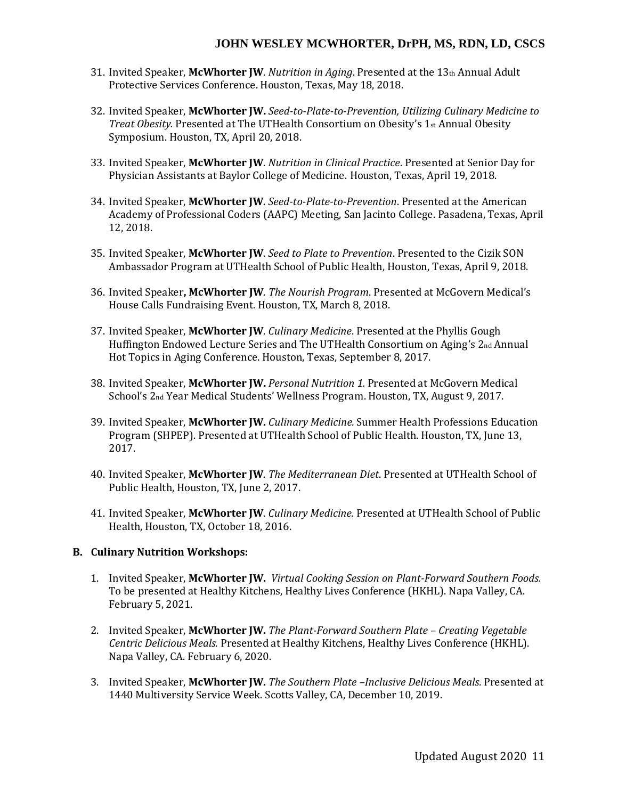- 31. Invited Speaker, **McWhorter JW**. *Nutrition in Aging*. Presented at the 13th Annual Adult Protective Services Conference. Houston, Texas, May 18, 2018.
- 32. Invited Speaker, **McWhorter JW.** *Seed-to-Plate-to-Prevention, Utilizing Culinary Medicine to Treat Obesity.* Presented at The UTHealth Consortium on Obesity's 1st Annual Obesity Symposium. Houston, TX, April 20, 2018.
- 33. Invited Speaker, **McWhorter JW**. *Nutrition in Clinical Practice*. Presented at Senior Day for Physician Assistants at Baylor College of Medicine. Houston, Texas, April 19, 2018.
- 34. Invited Speaker, **McWhorter JW**. *Seed-to-Plate-to-Prevention*. Presented at the American Academy of Professional Coders (AAPC) Meeting, San Jacinto College. Pasadena, Texas, April 12, 2018.
- 35. Invited Speaker, **McWhorter JW**. *Seed to Plate to Prevention*. Presented to the Cizik SON Ambassador Program at UTHealth School of Public Health, Houston, Texas, April 9, 2018.
- 36. Invited Speaker**, McWhorter JW**. *The Nourish Program*. Presented at McGovern Medical's House Calls Fundraising Event. Houston, TX, March 8, 2018.
- 37. Invited Speaker, **McWhorter JW**. *Culinary Medicine*. Presented at the Phyllis Gough Huffington Endowed Lecture Series and The UTHealth Consortium on Aging's 2nd Annual Hot Topics in Aging Conference. Houston, Texas, September 8, 2017.
- 38. Invited Speaker, **McWhorter JW.** *Personal Nutrition 1.* Presented at McGovern Medical School's 2nd Year Medical Students' Wellness Program. Houston, TX, August 9, 2017.
- 39. Invited Speaker, **McWhorter JW.** *Culinary Medicine.* Summer Health Professions Education Program (SHPEP). Presented at UTHealth School of Public Health. Houston, TX, June 13, 2017.
- 40. Invited Speaker, **McWhorter JW**. *The Mediterranean Diet*. Presented at UTHealth School of Public Health, Houston, TX, June 2, 2017.
- 41. Invited Speaker, **McWhorter JW**. *Culinary Medicine.* Presented at UTHealth School of Public Health, Houston, TX, October 18, 2016.

#### **B. Culinary Nutrition Workshops:**

- 1. Invited Speaker, **McWhorter JW.** *Virtual Cooking Session on Plant-Forward Southern Foods.*  To be presented at Healthy Kitchens, Healthy Lives Conference (HKHL). Napa Valley, CA. February 5, 2021.
- 2. Invited Speaker, **McWhorter JW.** *The Plant-Forward Southern Plate – Creating Vegetable Centric Delicious Meals.* Presented at Healthy Kitchens, Healthy Lives Conference (HKHL). Napa Valley, CA. February 6, 2020.
- 3. Invited Speaker, **McWhorter JW.** *The Southern Plate –Inclusive Delicious Meals.* Presented at 1440 Multiversity Service Week. Scotts Valley, CA, December 10, 2019.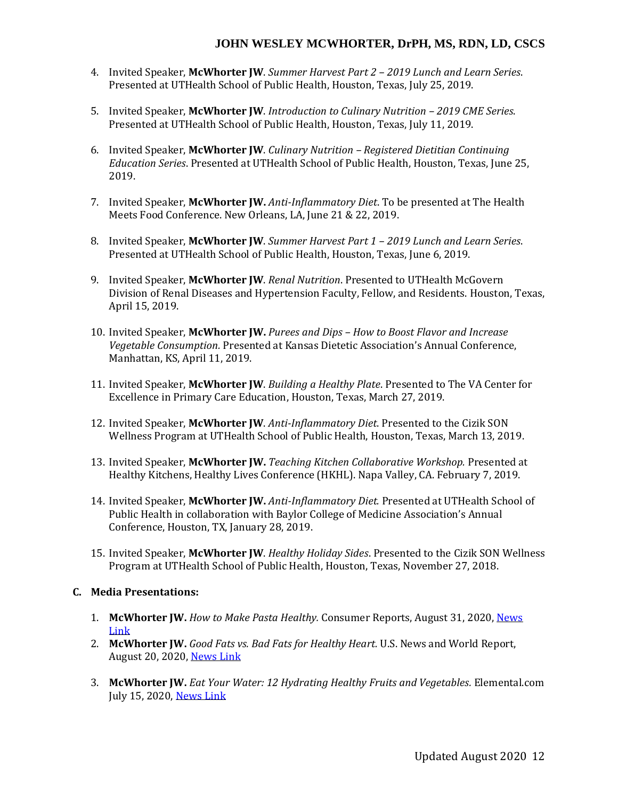- 4. Invited Speaker, **McWhorter JW**. *Summer Harvest Part 2 – 2019 Lunch and Learn Series*. Presented at UTHealth School of Public Health, Houston, Texas, July 25, 2019.
- 5. Invited Speaker, **McWhorter JW**. *Introduction to Culinary Nutrition – 2019 CME Series*. Presented at UTHealth School of Public Health, Houston, Texas, July 11, 2019.
- 6. Invited Speaker, **McWhorter JW**. *Culinary Nutrition – Registered Dietitian Continuing Education Series*. Presented at UTHealth School of Public Health, Houston, Texas, June 25, 2019.
- 7. Invited Speaker, **McWhorter JW.** *Anti-Inflammatory Diet*. To be presented at The Health Meets Food Conference. New Orleans, LA, June 21 & 22, 2019.
- 8. Invited Speaker, **McWhorter JW**. *Summer Harvest Part 1 – 2019 Lunch and Learn Series*. Presented at UTHealth School of Public Health, Houston, Texas, June 6, 2019.
- 9. Invited Speaker, **McWhorter JW**. *Renal Nutrition*. Presented to UTHealth McGovern Division of Renal Diseases and Hypertension Faculty, Fellow, and Residents. Houston, Texas, April 15, 2019.
- 10. Invited Speaker, **McWhorter JW.** *Purees and Dips – How to Boost Flavor and Increase Vegetable Consumption.* Presented at Kansas Dietetic Association's Annual Conference, Manhattan, KS, April 11, 2019.
- 11. Invited Speaker, **McWhorter JW**. *Building a Healthy Plate*. Presented to The VA Center for Excellence in Primary Care Education, Houston, Texas, March 27, 2019.
- 12. Invited Speaker, **McWhorter JW**. *Anti-Inflammatory Diet*. Presented to the Cizik SON Wellness Program at UTHealth School of Public Health, Houston, Texas, March 13, 2019.
- 13. Invited Speaker, **McWhorter JW.** *Teaching Kitchen Collaborative Workshop.* Presented at Healthy Kitchens, Healthy Lives Conference (HKHL). Napa Valley, CA. February 7, 2019.
- 14. Invited Speaker, **McWhorter JW.** *Anti-Inflammatory Diet.* Presented at UTHealth School of Public Health in collaboration with Baylor College of Medicine Association's Annual Conference, Houston, TX, January 28, 2019.
- 15. Invited Speaker, **McWhorter JW**. *Healthy Holiday Sides*. Presented to the Cizik SON Wellness Program at UTHealth School of Public Health, Houston, Texas, November 27, 2018.

### **C. Media Presentations:**

- 1. **McWhorter JW.** *How to Make Pasta Healthy.* Consumer Reports, August 31, 2020, [News](https://www.consumerreports.org/nutrition-healthy-eating/how-to-make-pasta-healthy/)  [Link](https://www.consumerreports.org/nutrition-healthy-eating/how-to-make-pasta-healthy/)
- 2. **McWhorter JW.** *Good Fats vs. Bad Fats for Healthy Heart.* U.S. News and World Report, August 20, 2020, [News Link](https://health.usnews.com/wellness/articles/good-fats-vs-bad-fats-healthy-heart)
- 3. **McWhorter JW.** *Eat Your Water: 12 Hydrating Healthy Fruits and Vegetables.* Elemental.com July 15, 2020, [News Link](https://elemental.medium.com/eat-your-water-12-hydrating-healthy-fruits-and-vegetables-88d6b33c3fb7)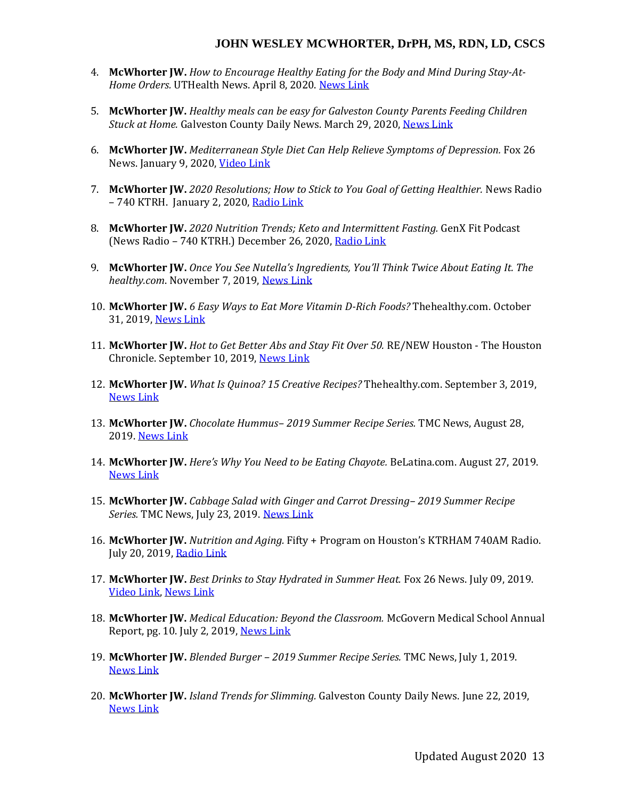- 4. **McWhorter JW.** *How to Encourage Healthy Eating for the Body and Mind During Stay-At-Home Orders.* UTHealth News. April 8, 2020. [News Link](https://www.uth.edu/news/story.htm?id=92d8f94e-a128-4b32-b65d-a6131e9f7401)
- 5. **McWhorter JW.** *Healthy meals can be easy for Galveston County Parents Feeding Children Stuck at Home.* Galveston County Daily News. March 29, 2020, [News Link](https://www.galvnews.com/sports/free/article_264e56d2-a4fc-5eae-a4bb-f6023bd5903a.html)
- 6. **McWhorter JW.** *Mediterranean Style Diet Can Help Relieve Symptoms of Depression.* Fox 26 News. January 9, 2020, [Video Link](https://www.iqmediacorp.com/ClipPlayer?ClipID=eb7fc852-80c1-42cf-91fb-7763759a710a&TE=%7B0%7D)
- 7. **McWhorter JW.** *2020 Resolutions; How to Stick to You Goal of Getting Healthier.* News Radio – 740 KTRH. January 2, 2020, [Radio Link](https://ktrh.iheart.com/content/2019-12-31-2020-resolutions-how-to-stick-to-your-goal-of-getting-healthier/)
- 8. **McWhorter JW.** *2020 Nutrition Trends; Keto and Intermittent Fasting.* GenX Fit Podcast (News Radio – 740 KTRH.) December 26, 2020, [Radio Link](https://www.iheart.com/podcast/390-genx-fit-53959281/episode/dietitian-wesley-mcwhorter-talks-about-nutrition-54718610/)
- 9. **McWhorter JW.** *Once You See Nutella's Ingredients, You'll Think Twice About Eating It. The healthy.com*. November 7, 2019, [News Link](https://www.thehealthy.com/food/nutella-ingredients/)
- 10. **McWhorter JW.** *6 Easy Ways to Eat More Vitamin D-Rich Foods?* Thehealthy.com. October 31, 2019, [News Link](https://www.thehealthy.com/nutrition/vitamin-d-rich-foods/)
- 11. **McWhorter JW.** *Hot to Get Better Abs and Stay Fit Over 50.* RE/NEW Houston The Houston Chronicle. September 10, 2019, [News Link](https://www.houstonchronicle.com/lifestyle/renew-houston/fitness/article/look-like-brad-pitt-over-50-abs-exercise-diet-14419997.php)
- 12. **McWhorter JW.** *What Is Quinoa? 15 Creative Recipes?* Thehealthy.com. September 3, 2019, [News Link](https://www.thehealthy.com/nutrition/vitamin-d-rich-foods/)
- 13. **McWhorter JW.** *Chocolate Hummus– 2019 Summer Recipe Series.* TMC News, August 28, 2019. [News Link](https://www.tmc.edu/news/2019/06/healthy-and-tasty-our-2019-summer-recipe-series/)
- 14. **McWhorter JW.** *Here's Why You Need to be Eating Chayote.* BeLatina.com. August 27, 2019. [News Link](https://belatina.com/you-need-to-be-eating-chayote/)
- 15. **McWhorter JW.** *Cabbage Salad with Ginger and Carrot Dressing– 2019 Summer Recipe Series.* TMC News, July 23, 2019. [News Link](https://www.tmc.edu/news/2019/06/healthy-and-tasty-our-2019-summer-recipe-series/)
- 16. **McWhorter JW.** *Nutrition and Aging.* Fifty + Program on Houston's KTRHAM 740AM Radio. July 20, 2019, [Radio Link](https://www.iqmediacorp.com/ClipPlayer?ClipID=27f26733-d8e7-41ce-a4a6-148a0846d9d8&TE=%7B0%7D)
- 17. **McWhorter JW.** *Best Drinks to Stay Hydrated in Summer Heat.* Fox 26 News. July 09, 2019. [Video Link,](https://www.iqmediacorp.com/ClipPlayer?ClipID=783089f8-2e28-407e-8888-e2671b7efe2f&TE=%7B0%7D) [News Link](http://www.fox26houston.com/home/best-drinks-to-stay-hydrated-in-summer-heat)
- 18. **McWhorter JW.** *Medical Education: Beyond the Classroom.* McGovern Medical School Annual Report, pg. 10. July 2, 2019, [News Link](https://med.uth.edu/wp-content/blogs.dir/1/files/2019/07/Website_PDF_Annual_Report_2018.pdf)
- 19. **McWhorter JW.** *Blended Burger – 2019 Summer Recipe Series.* TMC News, July 1, 2019. [News Link](https://www.tmc.edu/news/2019/06/healthy-and-tasty-our-2019-summer-recipe-series/)
- 20. **McWhorter JW.** *Island Trends for Slimming.* Galveston County Daily News. June 22, 2019, [News Link](https://www.galvnews.com/sports/plus/article_7d13b4bd-5e1e-5250-a0e3-94766359cf33.html)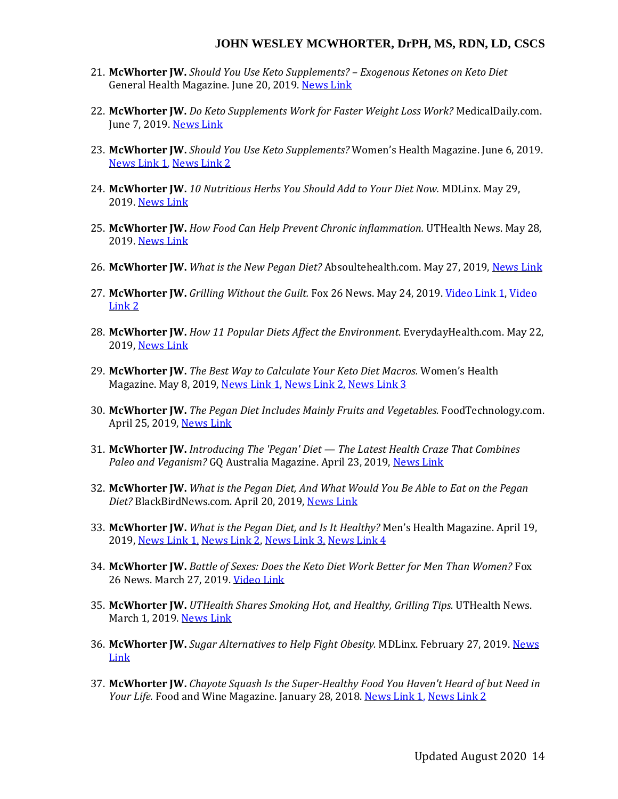- 21. **McWhorter JW.** *Should You Use Keto Supplements? – Exogenous Ketones on Keto Diet* General Health Magazine. June 20, 2019. [News Link](https://generalhealthmagazine.com/2019/06/20/should-you-use-keto-supplements-exogenous-ketones-on-keto-diet/)
- 22. **McWhorter JW.** *Do Keto Supplements Work for Faster Weight Loss Work?* MedicalDaily.com. June 7, 2019. [News Link](https://www.msn.com/en-ph/health/nutrition/do-keto-supplements-for-faster-weight-loss-work/ar-AACzAQS)
- 23. **McWhorter JW.** *Should You Use Keto Supplements?* Women's Health Magazine. June 6, 2019. [News Link](https://www.womenshealthmag.com/weight-loss/a27242441/keto-supplements/) 1[, News Link 2](https://www.yahoo.com/lifestyle/might-want-think-twice-keto-120000866.html)
- 24. **McWhorter JW.** *10 Nutritious Herbs You Should Add to Your Diet Now.* MDLinx. May 29, 2019. [News Link](https://www.mdlinx.com/internal-medicine/article/3732)
- 25. **McWhorter JW.** *How Food Can Help Prevent Chronic inflammation.* UTHealth News. May 28, 2019. [News Link](https://www.uth.edu/news/story.htm?id=bed80158-a7cb-444f-8e28-589e6d1296c2)
- 26. **McWhorter JW.** *What is the New Pegan Diet?* Absoultehealth.com. May 27, 2019, [News Link](https://absolutehealth.com/what-is-the-new-pegan-diet/)
- 27. **McWhorter JW.** *Grilling Without the Guilt.* Fox 26 News. May 24, 2019. [Video Link 1,](http://www.fox26houston.com/health/grilling-without-the-guilt-going-beyond-the-burgers) [Video](https://www.iqmediacorp.com/ClipPlayer?ClipID=81c12bae-1496-4a54-a185-4e117a57c0a7&TE=%7B0%7D) [Link](https://www.iqmediacorp.com/ClipPlayer?ClipID=9f9fc8ca-8363-494e-aaea-9ec047f4c21e&TE=%7B0%7D) 2
- 28. **McWhorter JW.** *How 11 Popular Diets Affect the Environment*. EverydayHealth.com. May 22, 2019, [News Link](https://www.everydayhealth.com/diet-nutrition/best-worst-diet-plans-environment/)
- 29. **McWhorter JW.** *The Best Way to Calculate Your Keto Diet Macros.* Women's Health Magazine. May 8, 2019, [News Link](https://www.womenshealthmag.com/weight-loss/a27377563/keto-diet-macros/) 1, [News Link 2,](https://www.womenshealthsa.co.za/weight-loss/keto-diet-macros/) [News Link 3](https://www.msn.com/en-us/health/nutrition/the-exact-formula-you-need-to-lose-weight-on-the-keto-diet/ar-AAB5FR6)
- 30. **McWhorter JW.** *The Pegan Diet Includes Mainly Fruits and Vegetables.* FoodTechnology.com. April 25, 2019, [News Link](https://foodstechnology.com/the-pegan-diet-includes-mainly-fruits-and-vegetables/190/)
- 31. **McWhorter JW.** *Introducing The 'Pegan' Diet — The Latest Health Craze That Combines Paleo and Veganism?* GQ Australia Magazine. April 23, 2019, [News Link](https://www.gq.com.au/fitness/health-nutrition/introducing-the-pegan-diet-the-latest-health-craze-that-combines-paleo-and-veganism/news-story/456b795b63216b3e77ca7dd1f5536382)
- 32. **McWhorter JW.** *What is the Pegan Diet, And What Would You Be Able to Eat on the Pegan Diet?* BlackBirdNews.com. April 20, 2019, [News Link](http://www.blackbirdnews.com/what-is-the-pegan-diet-and-what-would-you-be-able-to-eat-on-the-pegan-diet/)
- 33. **McWhorter JW.** *What is the Pegan Diet, and Is It Healthy?* Men's Health Magazine. April 19, 2019, [News Link](https://www.menshealth.com/nutrition/a27195138/what-is-pegan-diet/) 1, [News Link 2,](https://www.pulselive.co.ke/lifestyle/mens-health/what-is-the-pegan-diet-and-is-it-healthy/290ssrm) [News Link 3,](https://generalhealthmagazine.com/2019/04/20/what-is-the-pegan-diet-the-new-health-trend-mixes-paleo-and-vegan/) [News Link 4](https://www.msn.com/en-gb/health/nutrition/pegan-is-the-latest-trendy-diet-but-is-it-actually-healthy/ar-AAB7Y4I)
- 34. **McWhorter JW.** *Battle of Sexes: Does the Keto Diet Work Better for Men Than Women?* Fox 26 News. March 27, 2019. [Video](https://www.iqmediacorp.com/ClipPlayer?ClipID=81c12bae-1496-4a54-a185-4e117a57c0a7&TE=%7B0%7D) Link
- 35. **McWhorter JW.** *UTHealth Shares Smoking Hot, and Healthy, Grilling Tips.* UTHealth News. March 1, 2019. [News Link](https://www.uth.edu/news/story.htm?id=03490ccc-d02d-446f-9e29-a4c4d83da18b)
- 36. **McWhorter JW.** *Sugar Alternatives to Help Fight Obesity.* MDLinx. February 27, 2019. [News](https://www.mdlinx.com/internal-medicine/article/3473)  [Link](https://www.mdlinx.com/internal-medicine/article/3473)
- 37. **McWhorter JW.** *Chayote Squash Is the Super-Healthy Food You Haven't Heard of but Need in Your Life.* Food and Wine Magazine. January 28, 2018. [News Link 1,](https://www.foodandwine.com/syndication/what-is-chayote-squash-nutrition-benefits-recipes) [News Link 2](https://finance.yahoo.com/news/chayote-squash-super-healthy-food-133008576.html)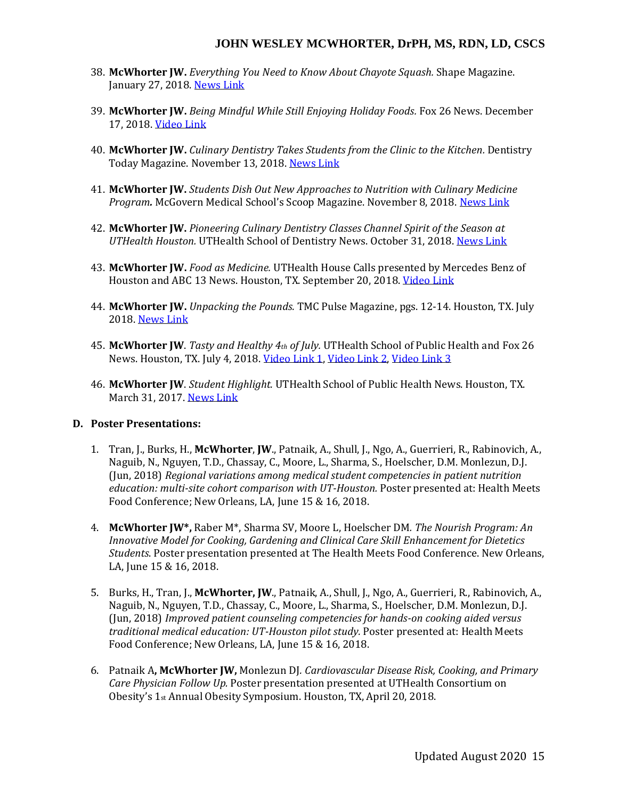- 38. **McWhorter JW.** *Everything You Need to Know About Chayote Squash.* Shape Magazine. January 27, 2018[. News Link](https://www.shape.com/healthy-eating/cooking-ideas/what-is-chayote-squash-nutrition-benefits-recipes)
- 39. **McWhorter JW.** *Being Mindful While Still Enjoying Holiday Foods.* Fox 26 News. December 17, 2018. [Video](https://www.iqmediacorp.com/ClipPlayer?ClipID=37c00860-1cf5-4d7a-a321-0755b4652920&TE=%7B0%7D) Link
- 40. **McWhorter JW.** *Culinary Dentistry Takes Students from the Clinic to the Kitchen.* Dentistry Today Magazine. November 13, 2018. [News Link](http://www.dentistrytoday.com/news/todays-dental-news/item/4053-culinary-dentistry-takes-students-from-the-clinic-to-the-kitchen)
- 41. **McWhorter JW.** *Students Dish Out New Approaches to Nutrition with Culinary Medicine Program.* McGovern Medical School's Scoop Magazine. November 8, 2018. [News Link](https://med.uth.edu/news/2018/11/08/students-dish-out-new-approaches-to-nutrition-with-culinary-medicine-program/)
- 42. **McWhorter JW.** *Pioneering Culinary Dentistry Classes Channel Spirit of the Season at UTHealth Houston.* UTHealth School of Dentistry News. October 31, 2018[. News Link](https://med.uth.edu/news/2018/11/08/students-dish-out-new-approaches-to-nutrition-with-culinary-medicine-program/)
- 43. **McWhorter JW.** *Food as Medicine.* UTHealth House Calls presented by Mercedes Benz of Houston and ABC 13 News. Houston, TX. September 20, 2018. [Video Link](https://www.facebook.com/abc13Houston/videos/uthealth-house-calls-on-nutrition/1847689118678946/)
- 44. **McWhorter JW.** *Unpacking the Pounds.* TMC Pulse Magazine, pgs. 12-14. Houston, TX. July 2018. [News Link](https://tmcpulse.uberflip.com/i/998534-july-2018)
- 45. **McWhorter JW**. *Tasty and Healthy 4th of July.* UTHealth School of Public Health and Fox 26 News. Houston, TX. July 4, 2018. [Video Link 1,](https://www.iqmediacorp.com/ClipPlayer?ClipID=e1ff6dfe-3c5b-44ae-952e-6443db022f31&TE=%7B0%7D) [Video Link 2,](https://www.iqmediacorp.com/ClipPlayer?ClipID=4edfcc10-12e1-4f53-8c7d-30fbacf2092e&TE=%7B0%7D) [Video Link 3](https://www.iqmediacorp.com/ClipPlayer?ClipID=2cfbd4d3-3a68-4fe1-ac21-fdf7779b7b1f&TE=%7B0%7D)
- 46. **McWhorter JW**. *Student Highlight.* UTHealth School of Public Health News. Houston, TX. March 31, 2017. [News Link](https://sph.uth.edu/news/story/student-profile-wesley-mcwhorter-drph-program/)

#### **D. Poster Presentations:**

- 1. Tran, J., Burks, H., **McWhorter**, **JW**., Patnaik, A., Shull, J., Ngo, A., Guerrieri, R., Rabinovich, A., Naguib, N., Nguyen, T.D., Chassay, C., Moore, L., Sharma, S., Hoelscher, D.M. Monlezun, D.J. (Jun, 2018) *Regional variations among medical student competencies in patient nutrition education: multi-site cohort comparison with UT-Houston.* Poster presented at: Health Meets Food Conference; New Orleans, LA, June 15 & 16, 2018.
- 4. **McWhorter JW\*,** Raber M\*, Sharma SV, Moore L, Hoelscher DM*. The Nourish Program: An Innovative Model for Cooking, Gardening and Clinical Care Skill Enhancement for Dietetics Students*. Poster presentation presented at The Health Meets Food Conference. New Orleans, LA, June 15 & 16, 2018.
- 5. Burks, H., Tran, J., **McWhorter, JW**., Patnaik, A., Shull, J., Ngo, A., Guerrieri, R., Rabinovich, A., Naguib, N., Nguyen, T.D., Chassay, C., Moore, L., Sharma, S., Hoelscher, D.M. Monlezun, D.J. (Jun, 2018) *Improved patient counseling competencies for hands-on cooking aided versus traditional medical education: UT-Houston pilot study.* Poster presented at: Health Meets Food Conference; New Orleans, LA, June 15 & 16, 2018.
- 6. Patnaik A**, McWhorter JW,** Monlezun DJ*. Cardiovascular Disease Risk, Cooking, and Primary Care Physician Follow Up.* Poster presentation presented at UTHealth Consortium on Obesity's 1st Annual Obesity Symposium. Houston, TX, April 20, 2018.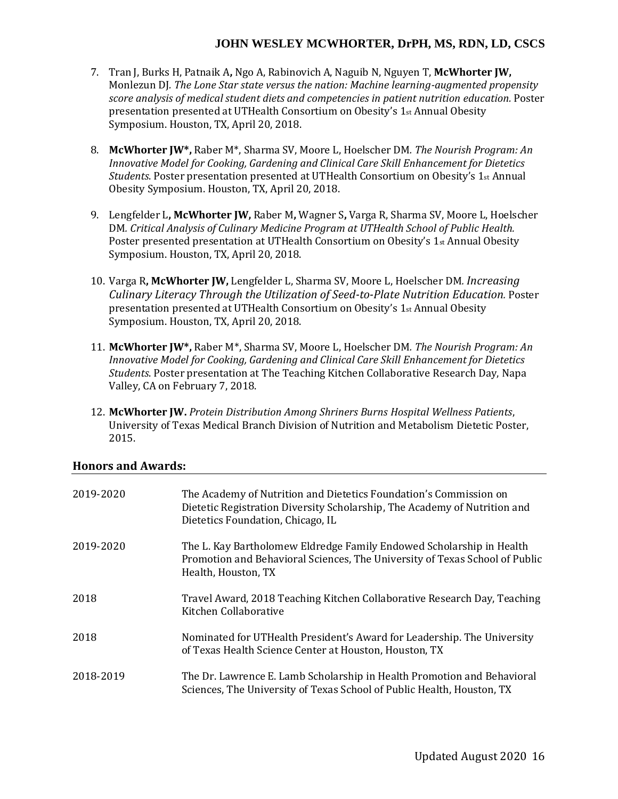- 7. Tran J, Burks H, Patnaik A**,** Ngo A, Rabinovich A, Naguib N, Nguyen T, **McWhorter JW,**  Monlezun DJ*. The Lone Star state versus the nation: Machine learning-augmented propensity score analysis of medical student diets and competencies in patient nutrition education.* Poster presentation presented at UTHealth Consortium on Obesity's 1st Annual Obesity Symposium. Houston, TX, April 20, 2018.
- 8. **McWhorter JW\*,** Raber M\*, Sharma SV, Moore L, Hoelscher DM*. The Nourish Program: An Innovative Model for Cooking, Gardening and Clinical Care Skill Enhancement for Dietetics Students*. Poster presentation presented at UTHealth Consortium on Obesity's 1<sub>st</sub> Annual Obesity Symposium. Houston, TX, April 20, 2018.
- 9. Lengfelder L**, McWhorter JW,** Raber M**,** Wagner S**,** Varga R, Sharma SV, Moore L, Hoelscher DM*. Critical Analysis of Culinary Medicine Program at UTHealth School of Public Health.*  Poster presented presentation at UTHealth Consortium on Obesity's 1<sub>st</sub> Annual Obesity Symposium. Houston, TX, April 20, 2018.
- 10. Varga R**, McWhorter JW,** Lengfelder L, Sharma SV, Moore L, Hoelscher DM*. Increasing Culinary Literacy Through the Utilization of Seed-to-Plate Nutrition Education.* Poster presentation presented at UTHealth Consortium on Obesity's 1st Annual Obesity Symposium. Houston, TX, April 20, 2018.
- 11. **McWhorter JW\*,** Raber M\*, Sharma SV, Moore L, Hoelscher DM*. The Nourish Program: An Innovative Model for Cooking, Gardening and Clinical Care Skill Enhancement for Dietetics Students*. Poster presentation at The Teaching Kitchen Collaborative Research Day, Napa Valley, CA on February 7, 2018.
- 12. **McWhorter JW.** *Protein Distribution Among Shriners Burns Hospital Wellness Patients*, University of Texas Medical Branch Division of Nutrition and Metabolism Dietetic Poster, 2015.

| 2019-2020 | The Academy of Nutrition and Dietetics Foundation's Commission on<br>Dietetic Registration Diversity Scholarship, The Academy of Nutrition and<br>Dietetics Foundation, Chicago, IL |
|-----------|-------------------------------------------------------------------------------------------------------------------------------------------------------------------------------------|
| 2019-2020 | The L. Kay Bartholomew Eldredge Family Endowed Scholarship in Health<br>Promotion and Behavioral Sciences, The University of Texas School of Public<br>Health, Houston, TX          |
| 2018      | Travel Award, 2018 Teaching Kitchen Collaborative Research Day, Teaching<br>Kitchen Collaborative                                                                                   |
| 2018      | Nominated for UTHealth President's Award for Leadership. The University<br>of Texas Health Science Center at Houston, Houston, TX                                                   |
| 2018-2019 | The Dr. Lawrence E. Lamb Scholarship in Health Promotion and Behavioral<br>Sciences, The University of Texas School of Public Health, Houston, TX                                   |

### **Honors and Awards:**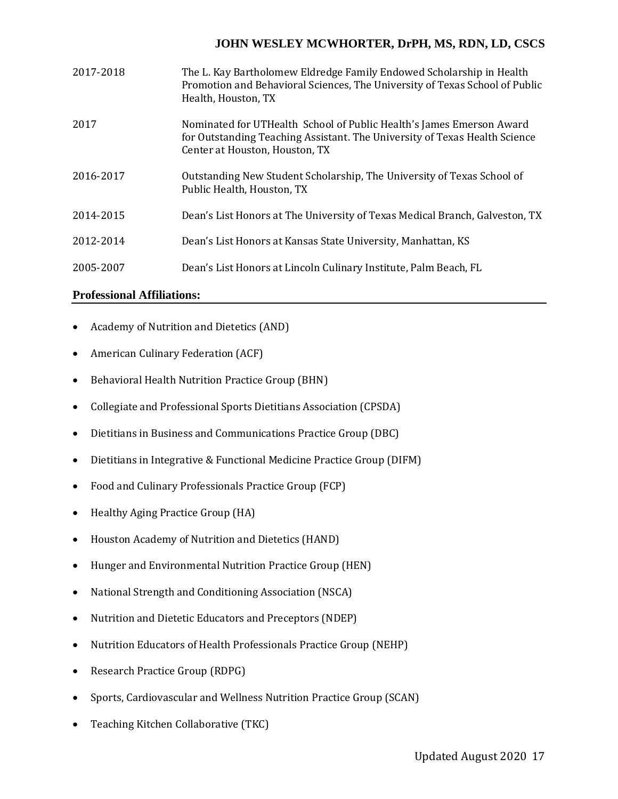| 2017-2018 | The L. Kay Bartholomew Eldredge Family Endowed Scholarship in Health<br>Promotion and Behavioral Sciences, The University of Texas School of Public<br>Health, Houston, TX           |
|-----------|--------------------------------------------------------------------------------------------------------------------------------------------------------------------------------------|
| 2017      | Nominated for UTHealth School of Public Health's James Emerson Award<br>for Outstanding Teaching Assistant. The University of Texas Health Science<br>Center at Houston, Houston, TX |
| 2016-2017 | Outstanding New Student Scholarship, The University of Texas School of<br>Public Health, Houston, TX                                                                                 |
| 2014-2015 | Dean's List Honors at The University of Texas Medical Branch, Galveston, TX                                                                                                          |
| 2012-2014 | Dean's List Honors at Kansas State University, Manhattan, KS                                                                                                                         |
| 2005-2007 | Dean's List Honors at Lincoln Culinary Institute, Palm Beach, FL                                                                                                                     |

### **Professional Affiliations:**

- Academy of Nutrition and Dietetics (AND)
- American Culinary Federation (ACF)
- Behavioral Health Nutrition Practice Group (BHN)
- Collegiate and Professional Sports Dietitians Association (CPSDA)
- Dietitians in Business and Communications Practice Group (DBC)
- Dietitians in Integrative & Functional Medicine Practice Group (DIFM)
- Food and Culinary Professionals Practice Group (FCP)
- Healthy Aging Practice Group (HA)
- Houston Academy of Nutrition and Dietetics (HAND)
- Hunger and Environmental Nutrition Practice Group (HEN)
- National Strength and Conditioning Association (NSCA)
- Nutrition and Dietetic Educators and Preceptors (NDEP)
- Nutrition Educators of Health Professionals Practice Group (NEHP)
- Research Practice Group (RDPG)
- Sports, Cardiovascular and Wellness Nutrition Practice Group (SCAN)
- Teaching Kitchen Collaborative (TKC)